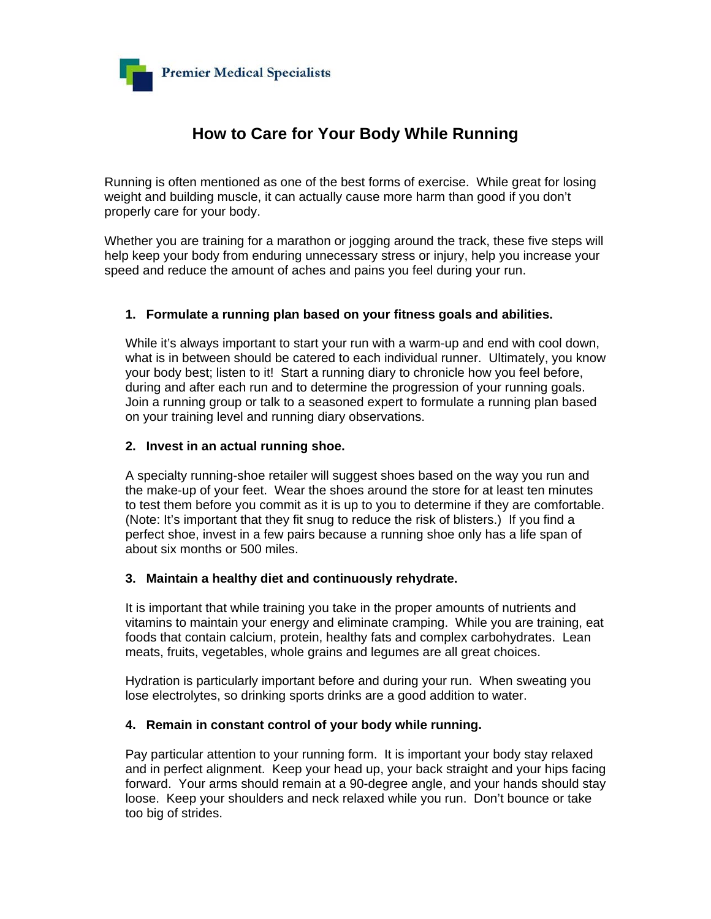

# **How to Care for Your Body While Running**

Running is often mentioned as one of the best forms of exercise. While great for losing weight and building muscle, it can actually cause more harm than good if you don't properly care for your body.

Whether you are training for a marathon or jogging around the track, these five steps will help keep your body from enduring unnecessary stress or injury, help you increase your speed and reduce the amount of aches and pains you feel during your run.

## **1. Formulate a running plan based on your fitness goals and abilities.**

While it's always important to start your run with a warm-up and end with cool down, what is in between should be catered to each individual runner. Ultimately, you know your body best; listen to it! Start a running diary to chronicle how you feel before, during and after each run and to determine the progression of your running goals. Join a running group or talk to a seasoned expert to formulate a running plan based on your training level and running diary observations.

### **2. Invest in an actual running shoe.**

A specialty running-shoe retailer will suggest shoes based on the way you run and the make-up of your feet. Wear the shoes around the store for at least ten minutes to test them before you commit as it is up to you to determine if they are comfortable. (Note: It's important that they fit snug to reduce the risk of blisters.) If you find a perfect shoe, invest in a few pairs because a running shoe only has a life span of about six months or 500 miles.

### **3. Maintain a healthy diet and continuously rehydrate.**

It is important that while training you take in the proper amounts of nutrients and vitamins to maintain your energy and eliminate cramping. While you are training, eat foods that contain calcium, protein, healthy fats and complex carbohydrates. Lean meats, fruits, vegetables, whole grains and legumes are all great choices.

Hydration is particularly important before and during your run. When sweating you lose electrolytes, so drinking sports drinks are a good addition to water.

### **4. Remain in constant control of your body while running.**

Pay particular attention to your running form. It is important your body stay relaxed and in perfect alignment. Keep your head up, your back straight and your hips facing forward. Your arms should remain at a 90-degree angle, and your hands should stay loose. Keep your shoulders and neck relaxed while you run. Don't bounce or take too big of strides.